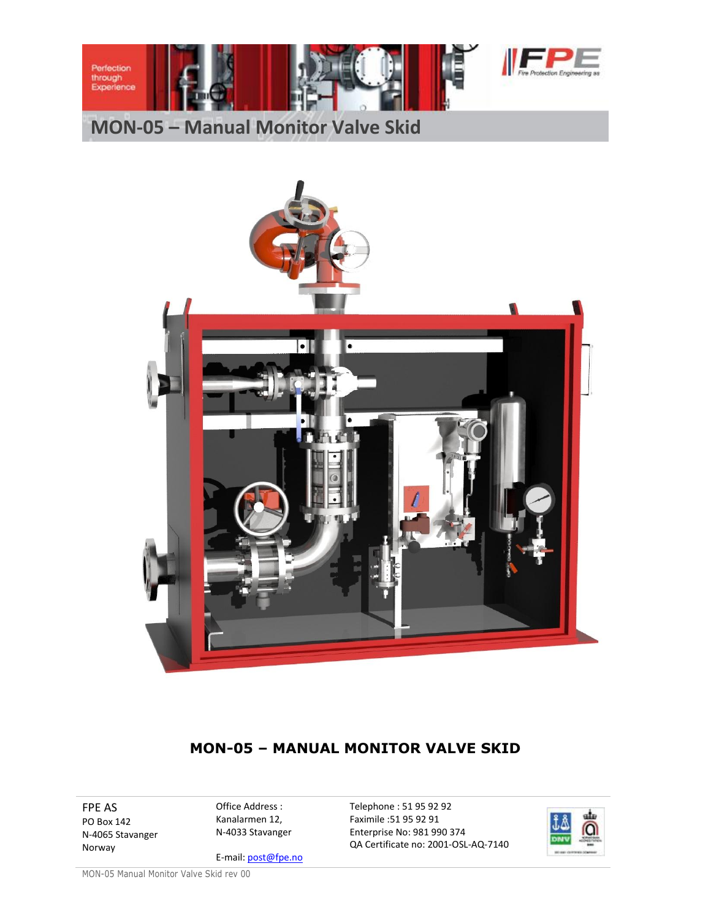

## **MON-05 – Manual Monitor Valve Skid**



### **MON-05 – MANUAL MONITOR VALVE SKID**

FPE AS PO Box 142 N-4065 Stavanger Norway

Office Address : Kanalarmen 12, N-4033 Stavanger

E-mail: post@fpe.no

Telephone : 51 95 92 92 Faximile :51 95 92 91 Enterprise No: 981 990 374 QA Certificate no: 2001-OSL-AQ-7140



MON-05 Manual Monitor Valve Skid rev 00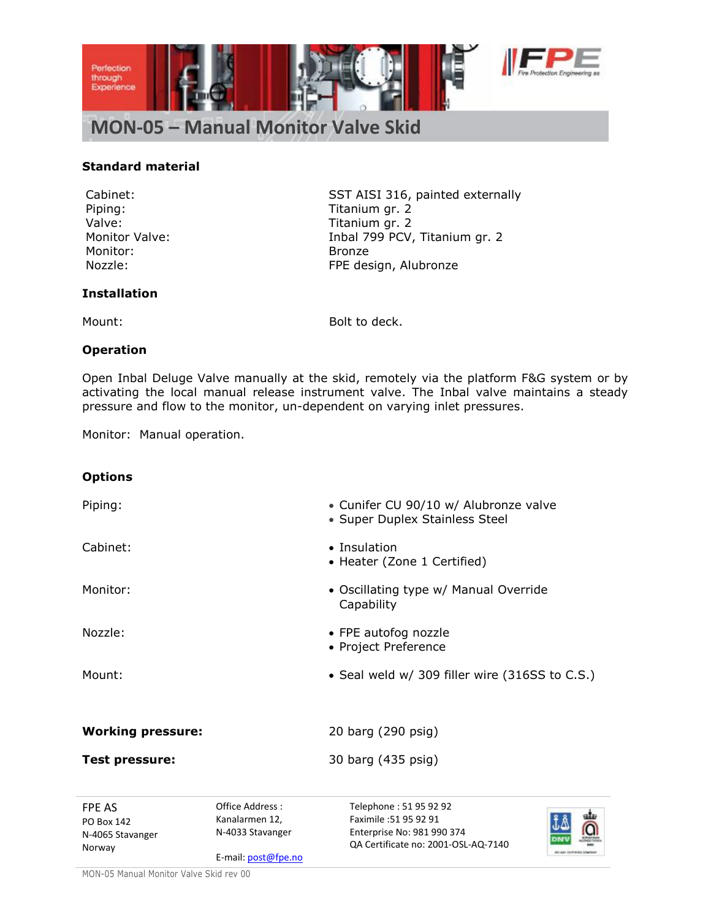

#### **Standard material**

Piping: Titanium gr. 2 Valve: Valve: Titanium gr. 2 Monitor: Bronze

Cabinet: SST AISI 316, painted externally Monitor Valve: The Monitor Valve: Inbal 799 PCV, Titanium gr. 2 Nozzle: FPE design, Alubronze

#### **Installation**

Mount: Bolt to deck.

#### **Operation**

Open Inbal Deluge Valve manually at the skid, remotely via the platform F&G system or by activating the local manual release instrument valve. The Inbal valve maintains a steady pressure and flow to the monitor, un-dependent on varying inlet pressures.

Monitor: Manual operation.

# Office Address : **Options** Piping: Cunifer CU 90/10 w/ Alubronze valve • Super Duplex Stainless Steel Cabinet: and a state of the state of the Insulation • Heater (Zone 1 Certified) Monitor: **Monitor: CONFIDENTIAL MONO CONFIDENT** OSCIllating type w/ Manual Override **Capability** Nozzle: Same Contract Contract Contract Contract of FPE autofog nozzle • Project Preference Mount: **Seal weld w/ 309 filler wire (316SS to C.S.)** Country to Seal weld w/ 309 filler wire (316SS to C.S.) **Working pressure:** 20 barg (290 psig) **Test pressure:** 30 barg (435 psig)

FPE AS PO Box 142 N-4065 Stavanger Norway

Kanalarmen 12, N-4033 Stavanger

E-mail: post@fpe.no

Telephone : 51 95 92 92 Faximile :51 95 92 91 Enterprise No: 981 990 374 QA Certificate no: 2001-OSL-AQ-7140



MON-05 Manual Monitor Valve Skid rev 00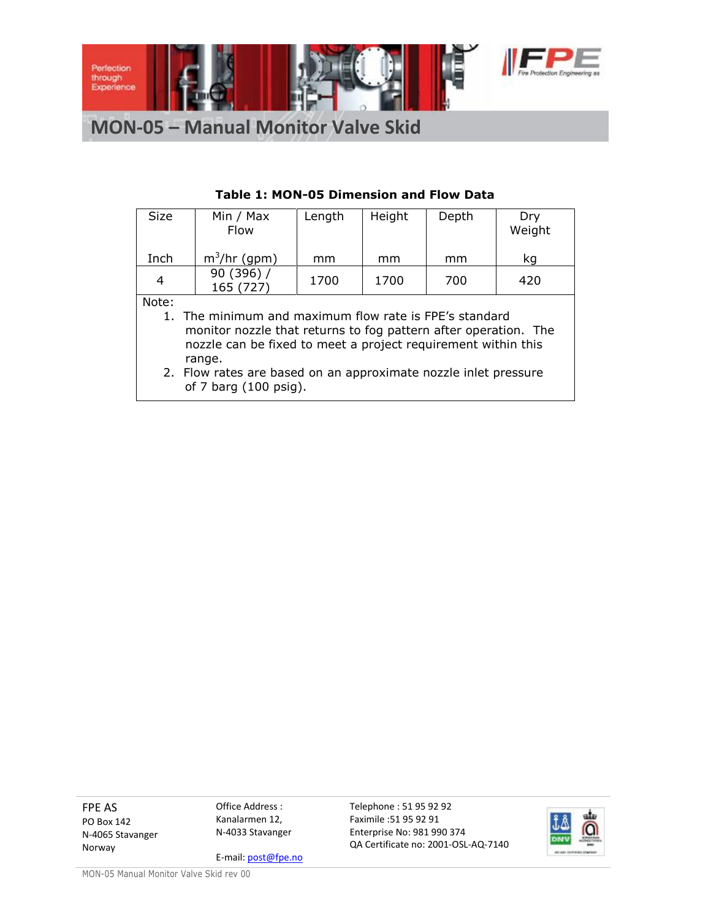

**MON-05 – Manual Monitor Valve Skid**

| Size           | Min / Max                                                       | Length | Height | Depth | Dry    |
|----------------|-----------------------------------------------------------------|--------|--------|-------|--------|
|                | <b>Flow</b>                                                     |        |        |       | Weight |
|                |                                                                 |        |        |       |        |
|                |                                                                 |        |        |       |        |
| Inch           | $m^3$ /hr (gpm)                                                 | mm     | mm     | mm    | kq     |
|                | 90 (396) /                                                      |        |        |       |        |
| $\overline{4}$ | 165 (727)                                                       | 1700   | 1700   | 700   | 420    |
| Note:          |                                                                 |        |        |       |        |
|                |                                                                 |        |        |       |        |
|                | 1. The minimum and maximum flow rate is FPE's standard          |        |        |       |        |
|                | monitor nozzle that returns to fog pattern after operation. The |        |        |       |        |
|                |                                                                 |        |        |       |        |
|                | nozzle can be fixed to meet a project requirement within this   |        |        |       |        |
|                | range.                                                          |        |        |       |        |
|                | 2. Flow rates are based on an approximate nozzle inlet pressure |        |        |       |        |
|                |                                                                 |        |        |       |        |
|                | of 7 barg (100 psig).                                           |        |        |       |        |

### **Table 1: MON-05 Dimension and Flow Data**

FPE AS PO Box 142 N-4065 Stavanger Norway

Office Address : Kanalarmen 12, N-4033 Stavanger

E-mail: post@fpe.no

Telephone : 51 95 92 92 Faximile :51 95 92 91 Enterprise No: 981 990 374 QA Certificate no: 2001-OSL-AQ-7140